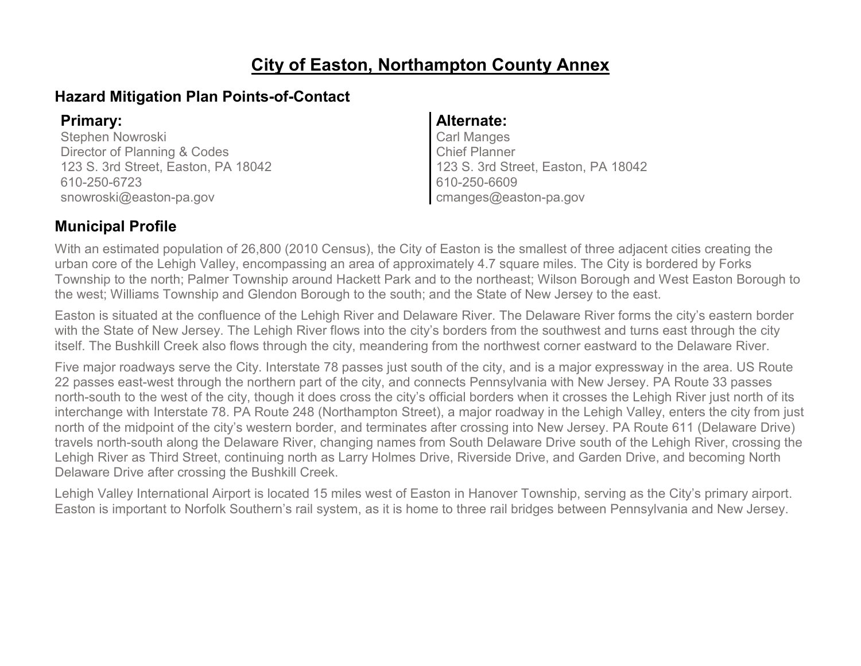### **City of Easton, Northampton County Annex**

#### **Hazard Mitigation Plan Points-of-Contact**

Stephen Nowroski Director of Planning & Codes 123 S. 3rd Street, Easton, PA 18042 610-250-6723 snowroski@easton-pa.gov

#### **Primary: Alternate:**

Carl Manges Chief Planner 123 S. 3rd Street, Easton, PA 18042 610-250-6609 cmanges@easton-pa.gov

#### **Municipal Profile**

With an estimated population of 26,800 (2010 Census), the City of Easton is the smallest of three adjacent cities creating the urban core of the Lehigh Valley, encompassing an area of approximately 4.7 square miles. The City is bordered by Forks Township to the north; Palmer Township around Hackett Park and to the northeast; Wilson Borough and West Easton Borough to the west; Williams Township and Glendon Borough to the south; and the State of New Jersey to the east.

Easton is situated at the confluence of the Lehigh River and Delaware River. The Delaware River forms the city's eastern border with the State of New Jersey. The Lehigh River flows into the city's borders from the southwest and turns east through the city itself. The Bushkill Creek also flows through the city, meandering from the northwest corner eastward to the Delaware River.

Five major roadways serve the City. Interstate 78 passes just south of the city, and is a major expressway in the area. US Route 22 passes east-west through the northern part of the city, and connects Pennsylvania with New Jersey. PA Route 33 passes north-south to the west of the city, though it does cross the city's official borders when it crosses the Lehigh River just north of its interchange with Interstate 78. PA Route 248 (Northampton Street), a major roadway in the Lehigh Valley, enters the city from just north of the midpoint of the city's western border, and terminates after crossing into New Jersey. PA Route 611 (Delaware Drive) travels north-south along the Delaware River, changing names from South Delaware Drive south of the Lehigh River, crossing the Lehigh River as Third Street, continuing north as Larry Holmes Drive, Riverside Drive, and Garden Drive, and becoming North Delaware Drive after crossing the Bushkill Creek.

Lehigh Valley International Airport is located 15 miles west of Easton in Hanover Township, serving as the City's primary airport. Easton is important to Norfolk Southern's rail system, as it is home to three rail bridges between Pennsylvania and New Jersey.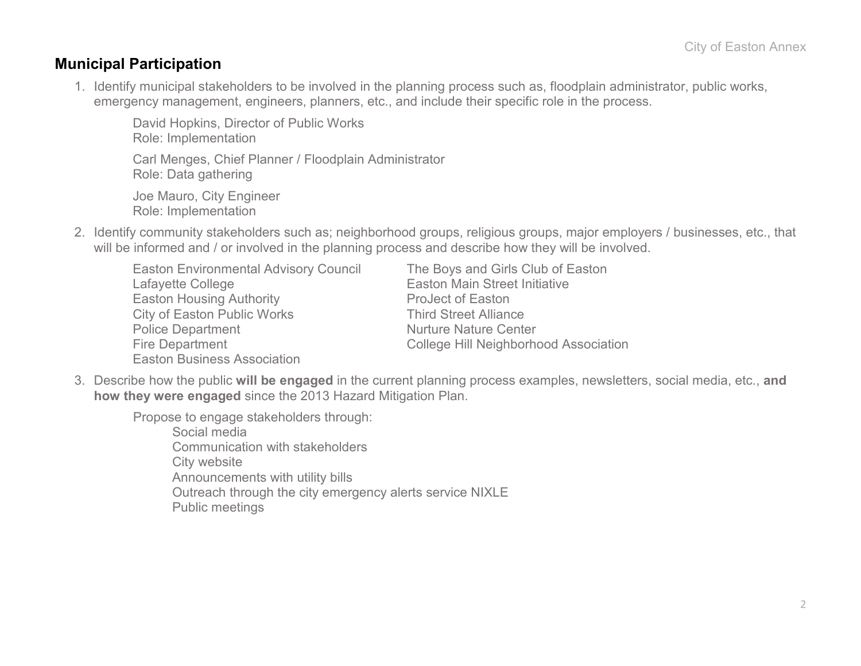#### **Municipal Participation**

1. Identify municipal stakeholders to be involved in the planning process such as, floodplain administrator, public works, emergency management, engineers, planners, etc., and include their specific role in the process.

David Hopkins, Director of Public Works Role: Implementation Carl Menges, Chief Planner / Floodplain Administrator Role: Data gathering

Joe Mauro, City Engineer Role: Implementation

- 2. Identify community stakeholders such as; neighborhood groups, religious groups, major employers / businesses, etc., that will be informed and / or involved in the planning process and describe how they will be involved.
	- Easton Environmental Advisory Council The Boys and Girls Club of Easton Lafayette College **Easton Main Street Initiative** Easton Housing Authority **Easton** ProJect of Easton City of Easton Public Works Third Street Alliance Police Department Nurture Nature Center Fire Department College Hill Neighborhood Association Easton Business Association

3. Describe how the public **will be engaged** in the current planning process examples, newsletters, social media, etc., **and how they were engaged** since the 2013 Hazard Mitigation Plan.

Propose to engage stakeholders through:

Social media Communication with stakeholders City website Announcements with utility bills Outreach through the city emergency alerts service NIXLE Public meetings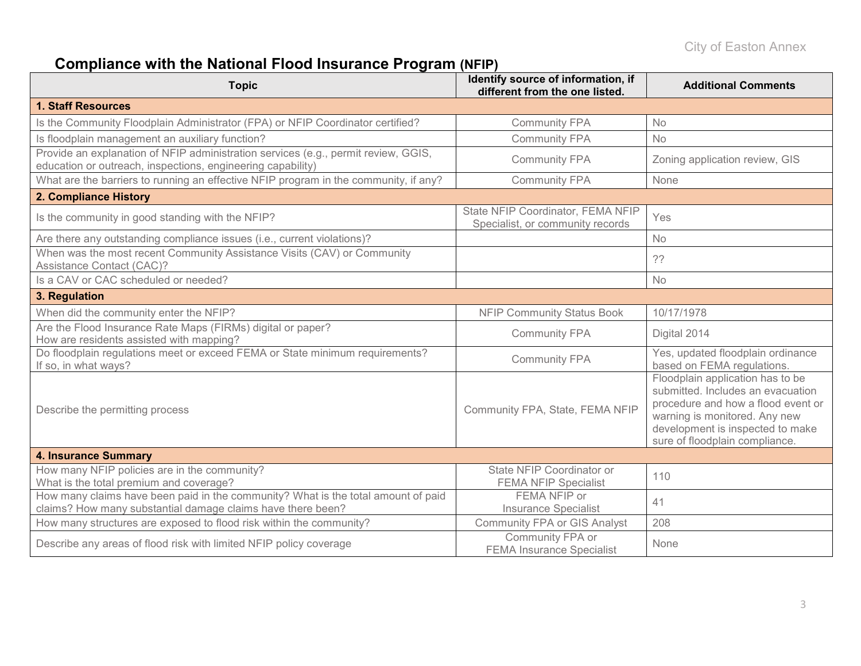# **Compliance with the National Flood Insurance Program (NFIP)**

| <b>Topic</b>                                                                                                                                      | Identify source of information, if<br>different from the one listed.  | <b>Additional Comments</b>                                                                                                                                                                                         |  |
|---------------------------------------------------------------------------------------------------------------------------------------------------|-----------------------------------------------------------------------|--------------------------------------------------------------------------------------------------------------------------------------------------------------------------------------------------------------------|--|
| <b>1. Staff Resources</b>                                                                                                                         |                                                                       |                                                                                                                                                                                                                    |  |
| Is the Community Floodplain Administrator (FPA) or NFIP Coordinator certified?                                                                    | <b>Community FPA</b>                                                  | <b>No</b>                                                                                                                                                                                                          |  |
| Is floodplain management an auxiliary function?                                                                                                   | <b>Community FPA</b>                                                  | <b>No</b>                                                                                                                                                                                                          |  |
| Provide an explanation of NFIP administration services (e.g., permit review, GGIS,<br>education or outreach, inspections, engineering capability) | <b>Community FPA</b>                                                  | Zoning application review, GIS                                                                                                                                                                                     |  |
| What are the barriers to running an effective NFIP program in the community, if any?                                                              | <b>Community FPA</b>                                                  | None                                                                                                                                                                                                               |  |
| 2. Compliance History                                                                                                                             |                                                                       |                                                                                                                                                                                                                    |  |
| Is the community in good standing with the NFIP?                                                                                                  | State NFIP Coordinator, FEMA NFIP<br>Specialist, or community records | Yes                                                                                                                                                                                                                |  |
| Are there any outstanding compliance issues (i.e., current violations)?                                                                           |                                                                       | <b>No</b>                                                                                                                                                                                                          |  |
| When was the most recent Community Assistance Visits (CAV) or Community<br><b>Assistance Contact (CAC)?</b>                                       |                                                                       | ??                                                                                                                                                                                                                 |  |
| Is a CAV or CAC scheduled or needed?                                                                                                              |                                                                       | <b>No</b>                                                                                                                                                                                                          |  |
| 3. Regulation                                                                                                                                     |                                                                       |                                                                                                                                                                                                                    |  |
| When did the community enter the NFIP?                                                                                                            | <b>NFIP Community Status Book</b>                                     | 10/17/1978                                                                                                                                                                                                         |  |
| Are the Flood Insurance Rate Maps (FIRMs) digital or paper?<br>How are residents assisted with mapping?                                           | <b>Community FPA</b>                                                  | Digital 2014                                                                                                                                                                                                       |  |
| Do floodplain regulations meet or exceed FEMA or State minimum requirements?<br>If so, in what ways?                                              | <b>Community FPA</b>                                                  | Yes, updated floodplain ordinance<br>based on FEMA regulations.                                                                                                                                                    |  |
| Describe the permitting process                                                                                                                   | Community FPA, State, FEMA NFIP                                       | Floodplain application has to be<br>submitted. Includes an evacuation<br>procedure and how a flood event or<br>warning is monitored. Any new<br>development is inspected to make<br>sure of floodplain compliance. |  |
| <b>4. Insurance Summary</b>                                                                                                                       |                                                                       |                                                                                                                                                                                                                    |  |
| How many NFIP policies are in the community?<br>What is the total premium and coverage?                                                           | State NFIP Coordinator or<br><b>FEMA NFIP Specialist</b>              | 110                                                                                                                                                                                                                |  |
| How many claims have been paid in the community? What is the total amount of paid<br>claims? How many substantial damage claims have there been?  | FEMA NFIP or<br><b>Insurance Specialist</b>                           | 41                                                                                                                                                                                                                 |  |
| How many structures are exposed to flood risk within the community?                                                                               | <b>Community FPA or GIS Analyst</b>                                   | 208                                                                                                                                                                                                                |  |
| Describe any areas of flood risk with limited NFIP policy coverage                                                                                | Community FPA or<br><b>FEMA Insurance Specialist</b>                  | None                                                                                                                                                                                                               |  |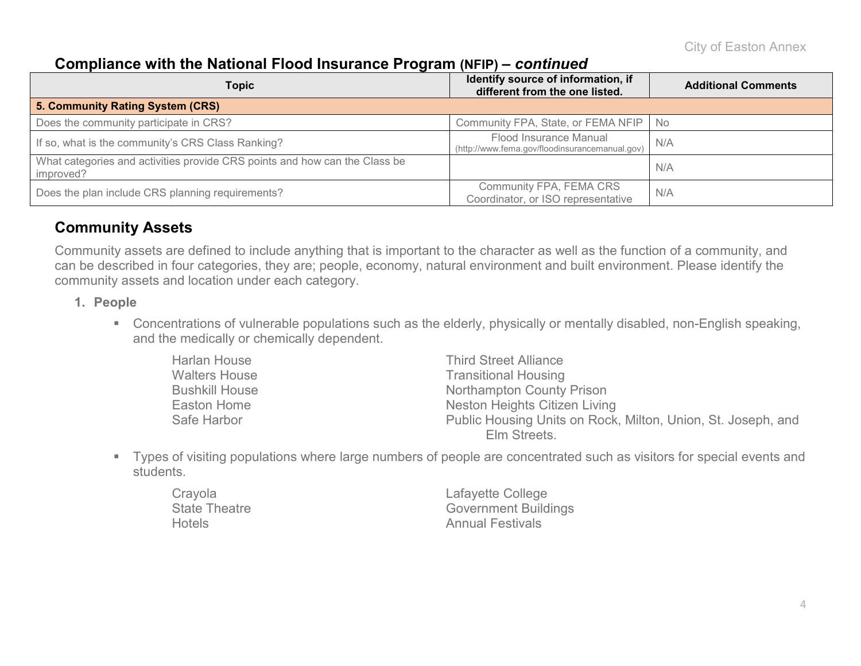#### **Compliance with the National Flood Insurance Program (NFIP) –** *continued*

| Topic                                                                                   | Identify source of information, if<br>different from the one listed.     | <b>Additional Comments</b> |  |
|-----------------------------------------------------------------------------------------|--------------------------------------------------------------------------|----------------------------|--|
| 5. Community Rating System (CRS)                                                        |                                                                          |                            |  |
| Does the community participate in CRS?                                                  | Community FPA, State, or FEMA NFIP   No                                  |                            |  |
| If so, what is the community's CRS Class Ranking?                                       | Flood Insurance Manual<br>(http://www.fema.gov/floodinsurancemanual.gov) | N/A                        |  |
| What categories and activities provide CRS points and how can the Class be<br>improved? |                                                                          | N/A                        |  |
| Does the plan include CRS planning requirements?                                        | Community FPA, FEMA CRS<br>Coordinator, or ISO representative            | N/A                        |  |

#### **Community Assets**

Community assets are defined to include anything that is important to the character as well as the function of a community, and can be described in four categories, they are; people, economy, natural environment and built environment. Please identify the community assets and location under each category.

- **1. People**
	- Concentrations of vulnerable populations such as the elderly, physically or mentally disabled, non-English speaking, and the medically or chemically dependent.

| Harlan House          | <b>Third Street Alliance</b>                                 |
|-----------------------|--------------------------------------------------------------|
| <b>Walters House</b>  | <b>Transitional Housing</b>                                  |
| <b>Bushkill House</b> | Northampton County Prison                                    |
| Easton Home           | Neston Heights Citizen Living                                |
| Safe Harbor           | Public Housing Units on Rock, Milton, Union, St. Joseph, and |
|                       | Elm Streets.                                                 |

 Types of visiting populations where large numbers of people are concentrated such as visitors for special events and students.

| Crayola              | Lafayette College           |
|----------------------|-----------------------------|
| <b>State Theatre</b> | <b>Government Buildings</b> |
| <b>Hotels</b>        | <b>Annual Festivals</b>     |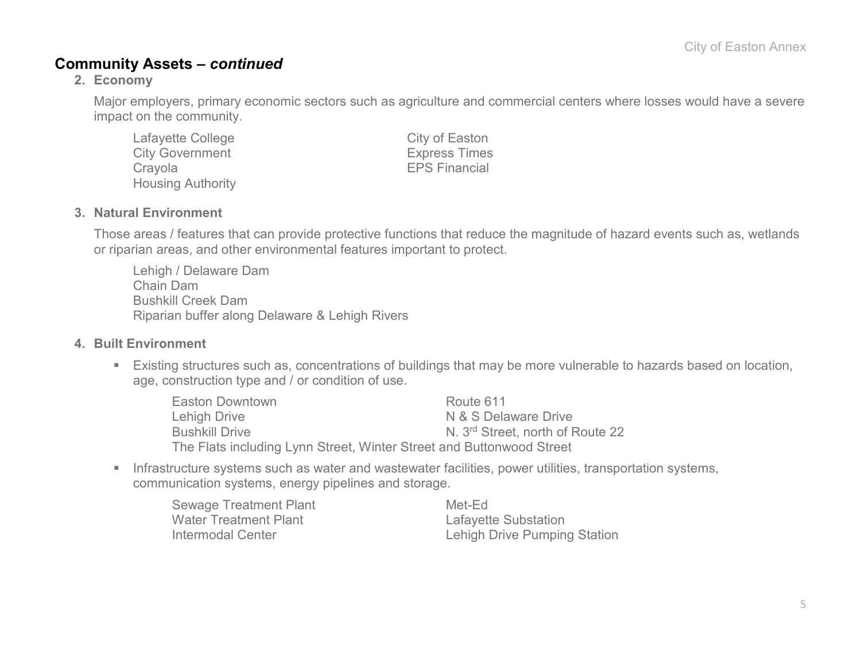#### **Community Assets –** *continued*

#### **2. Economy**

Major employers, primary economic sectors such as agriculture and commercial centers where losses would have a severe impact on the community.

| Lafayette College        |
|--------------------------|
| <b>City Government</b>   |
| Crayola                  |
| <b>Housing Authority</b> |

City of Easton **Express Times FPS Financial** 

#### **3. Natural Environment**

Those areas / features that can provide protective functions that reduce the magnitude of hazard events such as, wetlands or riparian areas, and other environmental features important to protect.

Lehigh / Delaware Dam Chain Dam Bushkill Creek Dam Riparian buffer along Delaware & Lehigh Rivers

#### **4. Built Environment**

 Existing structures such as, concentrations of buildings that may be more vulnerable to hazards based on location, age, construction type and / or condition of use.

| Easton Downtown                                                      | Route 611                                    |
|----------------------------------------------------------------------|----------------------------------------------|
| Lehigh Drive                                                         | N & S Delaware Drive                         |
| <b>Bushkill Drive</b>                                                | N. 3 <sup>rd</sup> Street, north of Route 22 |
| The Flats including Lynn Street, Winter Street and Buttonwood Street |                                              |

**Infrastructure systems such as water and wastewater facilities, power utilities, transportation systems,** communication systems, energy pipelines and storage.

| <b>Sewage Treatment Plant</b> |
|-------------------------------|
| Water Treatment Plant         |
| Intermodal Center             |

Met-Ed Lafayette Substation Lehigh Drive Pumping Station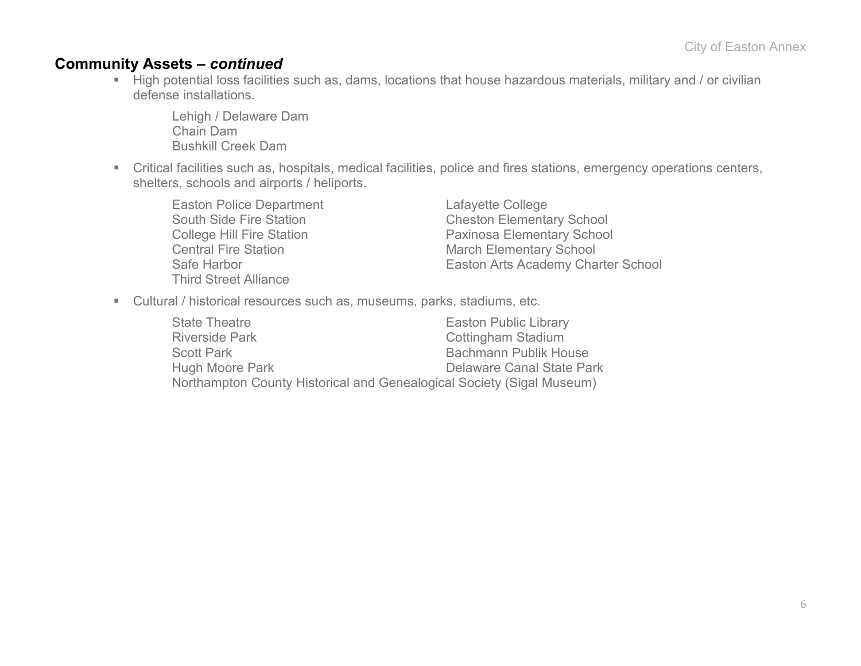#### **Community Assets –** *continued*

High potential loss facilities such as, dams, locations that house hazardous materials, military and / or civilian defense installations.

Lehigh / Delaware Dam Chain Dam Bushkill Creek Dam

 Critical facilities such as, hospitals, medical facilities, police and fires stations, emergency operations centers, shelters, schools and airports / heliports.

Easton Police Department<br>
South Side Fire Station<br>
Cheston Elementa Central Fire Station March Elementary School Third Street Alliance

**Cheston Elementary School** College Hill Fire Station<br>
Central Fire Station<br>
March Elementary School<br>
March Elementary School Easton Arts Academy Charter School

Cultural / historical resources such as, museums, parks, stadiums, etc.

| <b>State Theatre</b>                                                  | <b>Easton Public Library</b> |
|-----------------------------------------------------------------------|------------------------------|
| <b>Riverside Park</b>                                                 | <b>Cottingham Stadium</b>    |
| <b>Scott Park</b>                                                     | <b>Bachmann Publik House</b> |
| Hugh Moore Park                                                       | Delaware Canal State Park    |
| Northampton County Historical and Genealogical Society (Sigal Museum) |                              |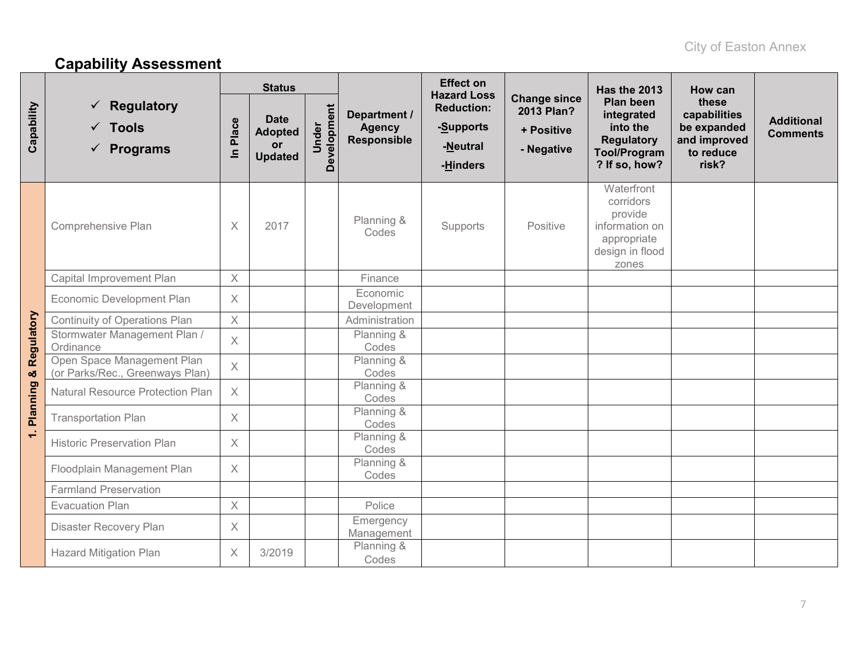# **Capability Assessment**

|                 |                                                                  | <b>Status</b>        |                                                              |                      |                                                     | <b>Effect on</b><br><b>Hazard Loss</b>                 |                                                               | Has the 2013                                                                                            | How can                                                                    |                                      |
|-----------------|------------------------------------------------------------------|----------------------|--------------------------------------------------------------|----------------------|-----------------------------------------------------|--------------------------------------------------------|---------------------------------------------------------------|---------------------------------------------------------------------------------------------------------|----------------------------------------------------------------------------|--------------------------------------|
| Capability      | <b>Regulatory</b><br>$\checkmark$ Tools<br>$\checkmark$ Programs | Place<br>$\subseteq$ | <b>Date</b><br><b>Adopted</b><br><b>or</b><br><b>Updated</b> | Development<br>Under | Department /<br><b>Agency</b><br><b>Responsible</b> | <b>Reduction:</b><br>-Supports<br>-Neutral<br>-Hinders | <b>Change since</b><br>2013 Plan?<br>+ Positive<br>- Negative | <b>Plan been</b><br>integrated<br>into the<br><b>Regulatory</b><br><b>Tool/Program</b><br>? If so, how? | these<br>capabilities<br>be expanded<br>and improved<br>to reduce<br>risk? | <b>Additional</b><br><b>Comments</b> |
|                 | Comprehensive Plan                                               | $\times$             | 2017                                                         |                      | Planning &<br>Codes                                 | Supports                                               | Positive                                                      | Waterfront<br>corridors<br>provide<br>information on<br>appropriate<br>design in flood<br>zones         |                                                                            |                                      |
|                 | Capital Improvement Plan                                         | $\times$             |                                                              |                      | Finance                                             |                                                        |                                                               |                                                                                                         |                                                                            |                                      |
| Regulatory      | Economic Development Plan                                        | $\times$             |                                                              |                      | Economic<br>Development                             |                                                        |                                                               |                                                                                                         |                                                                            |                                      |
|                 | Continuity of Operations Plan                                    | $\times$             |                                                              |                      | Administration                                      |                                                        |                                                               |                                                                                                         |                                                                            |                                      |
|                 | Stormwater Management Plan /<br>Ordinance                        | $\times$             |                                                              |                      | Planning &<br>Codes                                 |                                                        |                                                               |                                                                                                         |                                                                            |                                      |
| ×               | Open Space Management Plan<br>(or Parks/Rec., Greenways Plan)    | $\mathsf X$          |                                                              |                      | Planning &<br>Codes                                 |                                                        |                                                               |                                                                                                         |                                                                            |                                      |
| <b>Planning</b> | <b>Natural Resource Protection Plan</b>                          | $\chi$               |                                                              |                      | Planning &<br>Codes                                 |                                                        |                                                               |                                                                                                         |                                                                            |                                      |
|                 | <b>Transportation Plan</b>                                       | $\times$             |                                                              |                      | Planning &<br>Codes                                 |                                                        |                                                               |                                                                                                         |                                                                            |                                      |
| $\div$          | <b>Historic Preservation Plan</b>                                | $\times$             |                                                              |                      | Planning &<br>Codes                                 |                                                        |                                                               |                                                                                                         |                                                                            |                                      |
|                 | Floodplain Management Plan                                       | $\chi$               |                                                              |                      | Planning &<br>Codes                                 |                                                        |                                                               |                                                                                                         |                                                                            |                                      |
|                 | <b>Farmland Preservation</b>                                     |                      |                                                              |                      |                                                     |                                                        |                                                               |                                                                                                         |                                                                            |                                      |
|                 | <b>Evacuation Plan</b>                                           | $\times$             |                                                              |                      | Police                                              |                                                        |                                                               |                                                                                                         |                                                                            |                                      |
|                 | Disaster Recovery Plan                                           | $\times$             |                                                              |                      | Emergency<br>Management                             |                                                        |                                                               |                                                                                                         |                                                                            |                                      |
|                 | <b>Hazard Mitigation Plan</b>                                    | $\times$             | 3/2019                                                       |                      | Planning &<br>Codes                                 |                                                        |                                                               |                                                                                                         |                                                                            |                                      |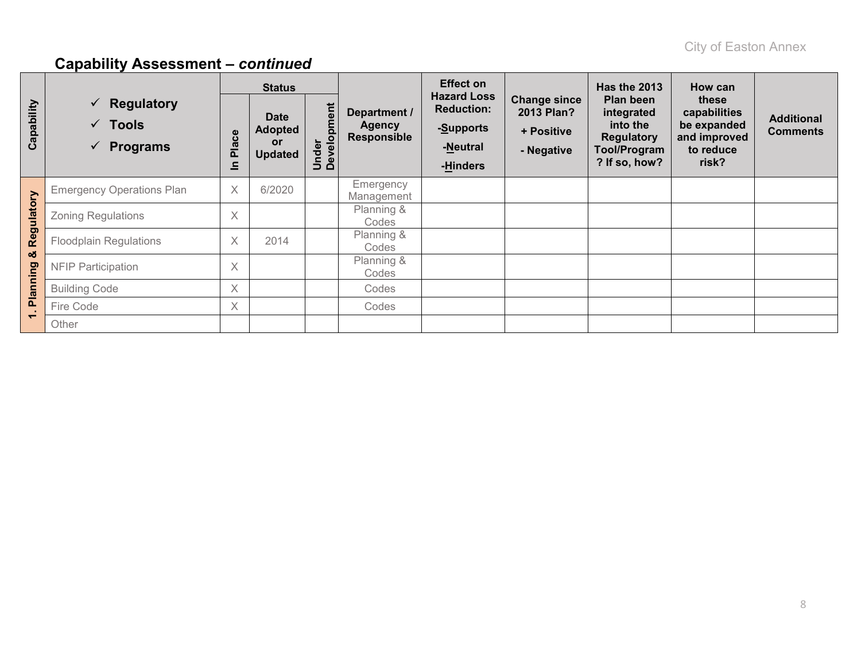|            | <b>Status</b>                                                                              | <b>Effect on</b> |                                                       | <b>Has the 2013</b>  | How can                                             |                                                                              |                                                                      |                                                                                           |                                                                            |                                      |
|------------|--------------------------------------------------------------------------------------------|------------------|-------------------------------------------------------|----------------------|-----------------------------------------------------|------------------------------------------------------------------------------|----------------------------------------------------------------------|-------------------------------------------------------------------------------------------|----------------------------------------------------------------------------|--------------------------------------|
| Capability | <b>Regulatory</b><br>$\checkmark$<br><b>Tools</b><br>$\checkmark$<br>$\checkmark$ Programs | es<br>Pla<br>으   | <b>Date</b><br><b>Adopted</b><br>or<br><b>Updated</b> | Under<br>Development | Department /<br><b>Agency</b><br><b>Responsible</b> | <b>Hazard Loss</b><br><b>Reduction:</b><br>-Supports<br>-Neutral<br>-Hinders | <b>Change since</b><br><b>2013 Plan?</b><br>+ Positive<br>- Negative | Plan been<br>integrated<br>into the<br><b>Regulatory</b><br>Tool/Program<br>? If so, how? | these<br>capabilities<br>be expanded<br>and improved<br>to reduce<br>risk? | <b>Additional</b><br><b>Comments</b> |
|            | <b>Emergency Operations Plan</b>                                                           | $\times$         | 6/2020                                                |                      | Emergency<br>Management                             |                                                                              |                                                                      |                                                                                           |                                                                            |                                      |
| Regulatory | Zoning Regulations                                                                         | $\times$         |                                                       |                      | Planning &<br>Codes                                 |                                                                              |                                                                      |                                                                                           |                                                                            |                                      |
|            | <b>Floodplain Regulations</b>                                                              | $\times$         | 2014                                                  |                      | Planning &<br>Codes                                 |                                                                              |                                                                      |                                                                                           |                                                                            |                                      |
| οð         | <b>NFIP Participation</b>                                                                  | $\times$         |                                                       |                      | Planning &<br>Codes                                 |                                                                              |                                                                      |                                                                                           |                                                                            |                                      |
| Planning   | <b>Building Code</b>                                                                       | $\times$         |                                                       |                      | Codes                                               |                                                                              |                                                                      |                                                                                           |                                                                            |                                      |
|            | Fire Code                                                                                  | $\times$         |                                                       |                      | Codes                                               |                                                                              |                                                                      |                                                                                           |                                                                            |                                      |
| ÷          | Other                                                                                      |                  |                                                       |                      |                                                     |                                                                              |                                                                      |                                                                                           |                                                                            |                                      |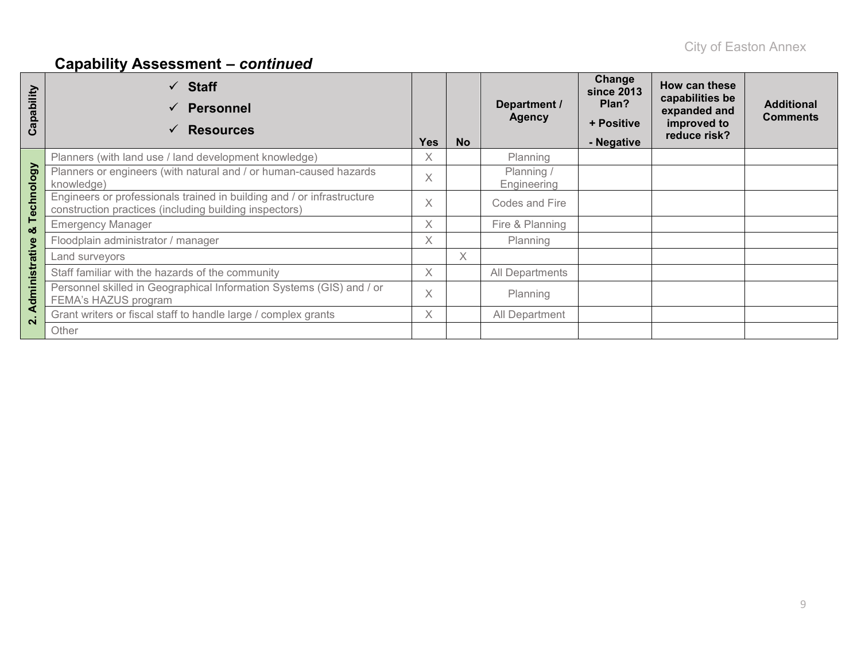| Capability             | $\checkmark$ Staff<br><b>Personnel</b><br><b>Resources</b>                                                                       | <b>Yes</b> | <b>No</b> | Department /<br><b>Agency</b> | Change<br>since 2013<br>Plan?<br>+ Positive<br>- Negative | How can these<br>capabilities be<br>expanded and<br>improved to<br>reduce risk? | <b>Additional</b><br><b>Comments</b> |
|------------------------|----------------------------------------------------------------------------------------------------------------------------------|------------|-----------|-------------------------------|-----------------------------------------------------------|---------------------------------------------------------------------------------|--------------------------------------|
|                        | Planners (with land use / land development knowledge)                                                                            | X          |           | Planning                      |                                                           |                                                                                 |                                      |
|                        | Planners or engineers (with natural and / or human-caused hazards<br>knowledge)                                                  | X          |           | Planning /<br>Engineering     |                                                           |                                                                                 |                                      |
| echnology              | Engineers or professionals trained in building and / or infrastructure<br>construction practices (including building inspectors) | X          |           | Codes and Fire                |                                                           |                                                                                 |                                      |
| ⊢<br>×                 | <b>Emergency Manager</b>                                                                                                         | X          |           | Fire & Planning               |                                                           |                                                                                 |                                      |
|                        | Floodplain administrator / manager                                                                                               | X          |           | Planning                      |                                                           |                                                                                 |                                      |
|                        | Land surveyors                                                                                                                   |            | X         |                               |                                                           |                                                                                 |                                      |
|                        | Staff familiar with the hazards of the community                                                                                 | X          |           | All Departments               |                                                           |                                                                                 |                                      |
| dministrative          | Personnel skilled in Geographical Information Systems (GIS) and / or<br>FEMA's HAZUS program                                     | X          |           | Planning                      |                                                           |                                                                                 |                                      |
| ∢<br>$\mathbf{\Omega}$ | Grant writers or fiscal staff to handle large / complex grants                                                                   | X          |           | All Department                |                                                           |                                                                                 |                                      |
|                        | Other                                                                                                                            |            |           |                               |                                                           |                                                                                 |                                      |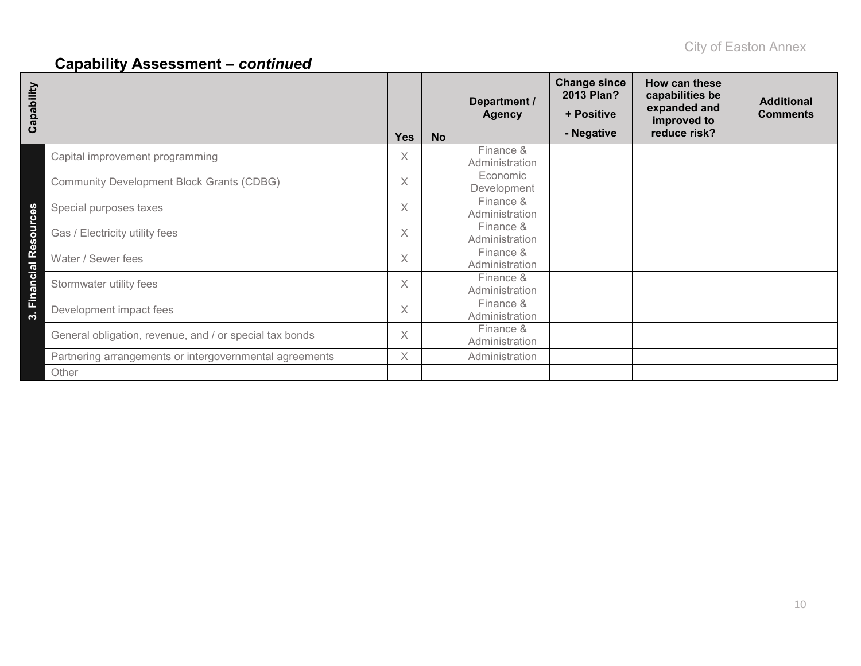| Capability             |                                                         | <b>Yes</b> | <b>No</b> | Department /<br><b>Agency</b> | <b>Change since</b><br>2013 Plan?<br>+ Positive<br>- Negative | How can these<br>capabilities be<br>expanded and<br>improved to<br>reduce risk? | <b>Additional</b><br><b>Comments</b> |
|------------------------|---------------------------------------------------------|------------|-----------|-------------------------------|---------------------------------------------------------------|---------------------------------------------------------------------------------|--------------------------------------|
|                        | Capital improvement programming                         | X          |           | Finance &<br>Administration   |                                                               |                                                                                 |                                      |
|                        | <b>Community Development Block Grants (CDBG)</b>        | X          |           | Economic<br>Development       |                                                               |                                                                                 |                                      |
|                        | Special purposes taxes                                  | X          |           | Finance &<br>Administration   |                                                               |                                                                                 |                                      |
|                        | Gas / Electricity utility fees                          | X          |           | Finance &<br>Administration   |                                                               |                                                                                 |                                      |
|                        | Water / Sewer fees                                      | X          |           | Finance &<br>Administration   |                                                               |                                                                                 |                                      |
| 3. Financial Resources | Stormwater utility fees                                 | X          |           | Finance &<br>Administration   |                                                               |                                                                                 |                                      |
|                        | Development impact fees                                 | X          |           | Finance &<br>Administration   |                                                               |                                                                                 |                                      |
|                        | General obligation, revenue, and / or special tax bonds | X          |           | Finance &<br>Administration   |                                                               |                                                                                 |                                      |
|                        | Partnering arrangements or intergovernmental agreements | X.         |           | Administration                |                                                               |                                                                                 |                                      |
|                        | Other                                                   |            |           |                               |                                                               |                                                                                 |                                      |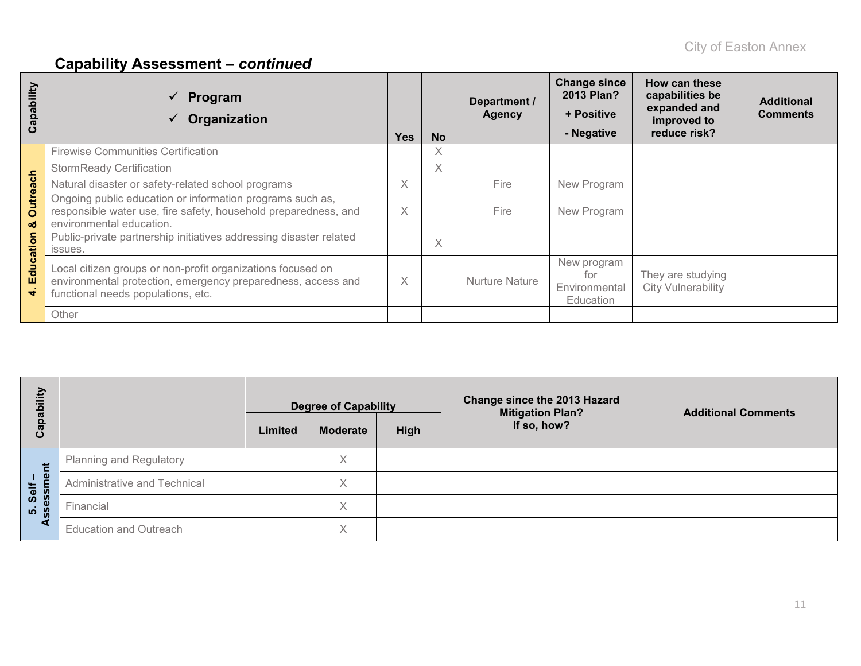| ability<br>$\Omega$<br>त्व<br>ပ | $\checkmark$ Program<br>Organization                                                                                                                              | <b>Yes</b> | <b>No</b> | Department /<br><b>Agency</b> | <b>Change since</b><br>2013 Plan?<br>+ Positive<br>- Negative | How can these<br>capabilities be<br>expanded and<br>improved to<br>reduce risk? | <b>Additional</b><br><b>Comments</b> |
|---------------------------------|-------------------------------------------------------------------------------------------------------------------------------------------------------------------|------------|-----------|-------------------------------|---------------------------------------------------------------|---------------------------------------------------------------------------------|--------------------------------------|
|                                 | <b>Firewise Communities Certification</b>                                                                                                                         |            | X         |                               |                                                               |                                                                                 |                                      |
|                                 | <b>StormReady Certification</b>                                                                                                                                   |            | $\times$  |                               |                                                               |                                                                                 |                                      |
|                                 | Natural disaster or safety-related school programs                                                                                                                | X          |           | Fire                          | New Program                                                   |                                                                                 |                                      |
| <b>Outreach</b><br>න්           | Ongoing public education or information programs such as,<br>responsible water use, fire safety, household preparedness, and<br>environmental education.          | X          |           | Fire                          | New Program                                                   |                                                                                 |                                      |
| ation                           | Public-private partnership initiatives addressing disaster related<br>issues.                                                                                     |            | $\times$  |                               |                                                               |                                                                                 |                                      |
| Educ<br>$\vec{r}$               | Local citizen groups or non-profit organizations focused on<br>environmental protection, emergency preparedness, access and<br>functional needs populations, etc. | X          |           | <b>Nurture Nature</b>         | New program<br>for<br>Environmental<br>Education              | They are studying<br><b>City Vulnerability</b>                                  |                                      |
|                                 | Other                                                                                                                                                             |            |           |                               |                                                               |                                                                                 |                                      |

| Ξ                  |                                |         | <b>Degree of Capability</b> |      | Change since the 2013 Hazard<br><b>Mitigation Plan?</b> | <b>Additional Comments</b> |  |
|--------------------|--------------------------------|---------|-----------------------------|------|---------------------------------------------------------|----------------------------|--|
| <del>ہ</del> ے     |                                | Limited | <b>Moderate</b>             | High | If so, how?                                             |                            |  |
| だ                  | <b>Planning and Regulatory</b> |         | Χ                           |      |                                                         |                            |  |
| ှစ<br>Self         | Administrative and Technical   |         | Χ                           |      |                                                         |                            |  |
| sessi<br><b>LO</b> | Financial                      |         | X                           |      |                                                         |                            |  |
|                    | <b>Education and Outreach</b>  |         | X                           |      |                                                         |                            |  |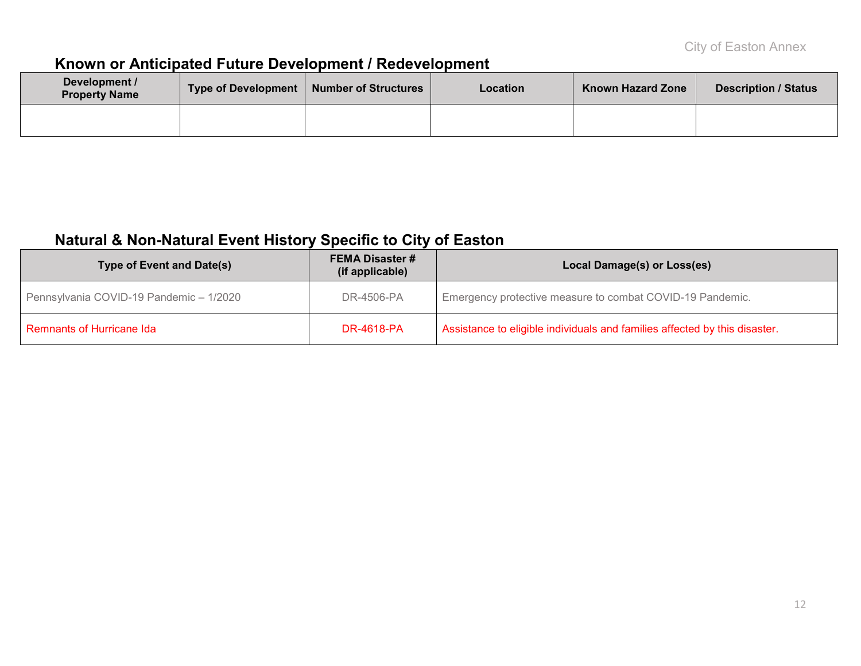### **Known or Anticipated Future Development / Redevelopment**

| Development /<br><b>Property Name</b> | Type of Development | <b>Number of Structures</b> | <b>Location</b> | <b>Known Hazard Zone</b> | <b>Description / Status</b> |
|---------------------------------------|---------------------|-----------------------------|-----------------|--------------------------|-----------------------------|
|                                       |                     |                             |                 |                          |                             |

### **Natural & Non-Natural Event History Specific to City of Easton**

| Type of Event and Date(s)               | <b>FEMA Disaster #</b><br>(if applicable) | Local Damage(s) or Loss(es)                                                |
|-----------------------------------------|-------------------------------------------|----------------------------------------------------------------------------|
| Pennsylvania COVID-19 Pandemic - 1/2020 | DR-4506-PA                                | Emergency protective measure to combat COVID-19 Pandemic.                  |
| Remnants of Hurricane Ida               | <b>DR-4618-PA</b>                         | Assistance to eligible individuals and families affected by this disaster. |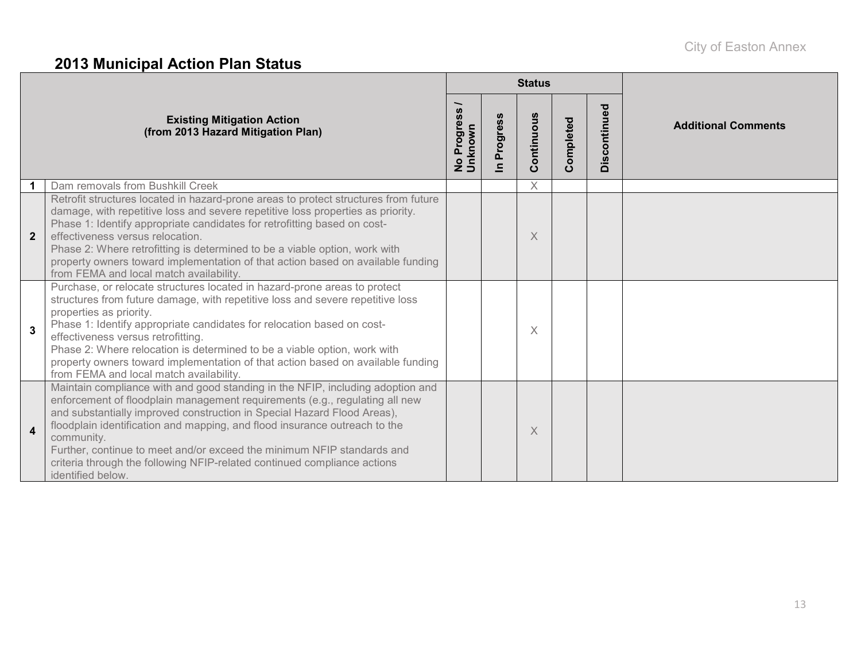# **2013 Municipal Action Plan Status**

|                         |                                                                                                                                                                                                                                                                                                                                                                                                                                                                                                                  |                        |                            | <b>Status</b> |           |              |                            |
|-------------------------|------------------------------------------------------------------------------------------------------------------------------------------------------------------------------------------------------------------------------------------------------------------------------------------------------------------------------------------------------------------------------------------------------------------------------------------------------------------------------------------------------------------|------------------------|----------------------------|---------------|-----------|--------------|----------------------------|
|                         | <b>Existing Mitigation Action</b><br>(from 2013 Hazard Mitigation Plan)                                                                                                                                                                                                                                                                                                                                                                                                                                          | No Progress<br>Unknown | Progress<br>$\blacksquare$ | Continuous    | Completed | Discontinued | <b>Additional Comments</b> |
|                         | Dam removals from Bushkill Creek                                                                                                                                                                                                                                                                                                                                                                                                                                                                                 |                        |                            | X             |           |              |                            |
| $\overline{2}$          | Retrofit structures located in hazard-prone areas to protect structures from future<br>damage, with repetitive loss and severe repetitive loss properties as priority.<br>Phase 1: Identify appropriate candidates for retrofitting based on cost-<br>effectiveness versus relocation.<br>Phase 2: Where retrofitting is determined to be a viable option, work with<br>property owners toward implementation of that action based on available funding<br>from FEMA and local match availability.               |                        |                            | $\times$      |           |              |                            |
| 3                       | Purchase, or relocate structures located in hazard-prone areas to protect<br>structures from future damage, with repetitive loss and severe repetitive loss<br>properties as priority.<br>Phase 1: Identify appropriate candidates for relocation based on cost-<br>effectiveness versus retrofitting.<br>Phase 2: Where relocation is determined to be a viable option, work with<br>property owners toward implementation of that action based on available funding<br>from FEMA and local match availability. |                        |                            | X             |           |              |                            |
| $\overline{\mathbf{4}}$ | Maintain compliance with and good standing in the NFIP, including adoption and<br>enforcement of floodplain management requirements (e.g., regulating all new<br>and substantially improved construction in Special Hazard Flood Areas),<br>floodplain identification and mapping, and flood insurance outreach to the<br>community.<br>Further, continue to meet and/or exceed the minimum NFIP standards and<br>criteria through the following NFIP-related continued compliance actions<br>identified below.  |                        |                            | $\times$      |           |              |                            |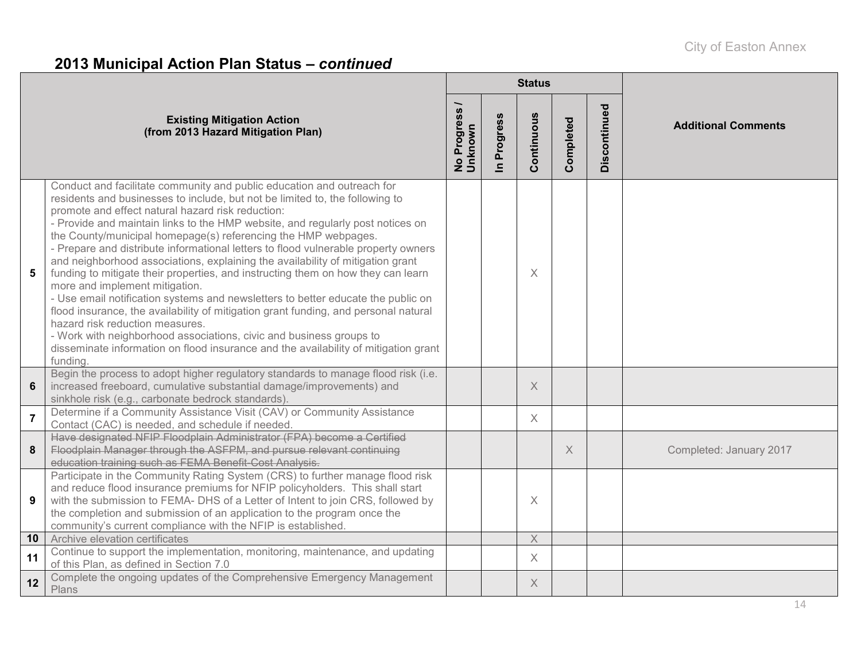# **2013 Municipal Action Plan Status –** *continued*

|                 |                                                                                                                                                                                                                                                                                                                                                                                                                                                                                                                                                                                                                                                                                                                                                                                                                                                                                                                                                                                                                                                       |                          |                            | <b>Status</b> |           |              |                            |
|-----------------|-------------------------------------------------------------------------------------------------------------------------------------------------------------------------------------------------------------------------------------------------------------------------------------------------------------------------------------------------------------------------------------------------------------------------------------------------------------------------------------------------------------------------------------------------------------------------------------------------------------------------------------------------------------------------------------------------------------------------------------------------------------------------------------------------------------------------------------------------------------------------------------------------------------------------------------------------------------------------------------------------------------------------------------------------------|--------------------------|----------------------------|---------------|-----------|--------------|----------------------------|
|                 | <b>Existing Mitigation Action</b><br>(from 2013 Hazard Mitigation Plan)                                                                                                                                                                                                                                                                                                                                                                                                                                                                                                                                                                                                                                                                                                                                                                                                                                                                                                                                                                               | No Progress /<br>Unknown | Progress<br>$\blacksquare$ | Continuous    | Completed | Discontinued | <b>Additional Comments</b> |
| 5               | Conduct and facilitate community and public education and outreach for<br>residents and businesses to include, but not be limited to, the following to<br>promote and effect natural hazard risk reduction:<br>- Provide and maintain links to the HMP website, and regularly post notices on<br>the County/municipal homepage(s) referencing the HMP webpages.<br>- Prepare and distribute informational letters to flood vulnerable property owners<br>and neighborhood associations, explaining the availability of mitigation grant<br>funding to mitigate their properties, and instructing them on how they can learn<br>more and implement mitigation.<br>- Use email notification systems and newsletters to better educate the public on<br>flood insurance, the availability of mitigation grant funding, and personal natural<br>hazard risk reduction measures.<br>- Work with neighborhood associations, civic and business groups to<br>disseminate information on flood insurance and the availability of mitigation grant<br>funding. |                          |                            | $\times$      |           |              |                            |
| 6               | Begin the process to adopt higher regulatory standards to manage flood risk (i.e.<br>increased freeboard, cumulative substantial damage/improvements) and<br>sinkhole risk (e.g., carbonate bedrock standards)                                                                                                                                                                                                                                                                                                                                                                                                                                                                                                                                                                                                                                                                                                                                                                                                                                        |                          |                            | $\times$      |           |              |                            |
| $\overline{7}$  | Determine if a Community Assistance Visit (CAV) or Community Assistance<br>Contact (CAC) is needed, and schedule if needed.                                                                                                                                                                                                                                                                                                                                                                                                                                                                                                                                                                                                                                                                                                                                                                                                                                                                                                                           |                          |                            | $\times$      |           |              |                            |
| 8               | Have designated NFIP Floodplain Administrator (FPA) become a Certified<br>Floodplain Manager through the ASFPM, and pursue relevant continuing<br>education training such as FEMA Benefit-Cost Analysis.                                                                                                                                                                                                                                                                                                                                                                                                                                                                                                                                                                                                                                                                                                                                                                                                                                              |                          |                            |               | $\times$  |              | Completed: January 2017    |
| 9               | Participate in the Community Rating System (CRS) to further manage flood risk<br>and reduce flood insurance premiums for NFIP policyholders. This shall start<br>with the submission to FEMA- DHS of a Letter of Intent to join CRS, followed by<br>the completion and submission of an application to the program once the<br>community's current compliance with the NFIP is established.                                                                                                                                                                                                                                                                                                                                                                                                                                                                                                                                                                                                                                                           |                          |                            | $\times$      |           |              |                            |
| 10 <sup>°</sup> | Archive elevation certificates<br>Continue to support the implementation, monitoring, maintenance, and updating                                                                                                                                                                                                                                                                                                                                                                                                                                                                                                                                                                                                                                                                                                                                                                                                                                                                                                                                       |                          |                            | $\mathsf X$   |           |              |                            |
| 11              | of this Plan, as defined in Section 7.0                                                                                                                                                                                                                                                                                                                                                                                                                                                                                                                                                                                                                                                                                                                                                                                                                                                                                                                                                                                                               |                          |                            | $\times$      |           |              |                            |
| 12              | Complete the ongoing updates of the Comprehensive Emergency Management<br>Plans                                                                                                                                                                                                                                                                                                                                                                                                                                                                                                                                                                                                                                                                                                                                                                                                                                                                                                                                                                       |                          |                            | X             |           |              |                            |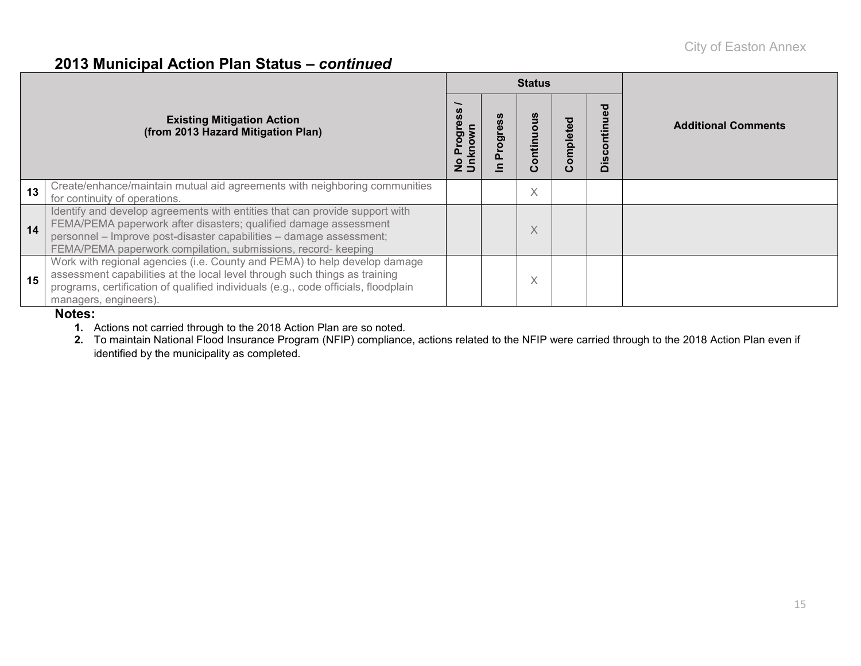#### **2013 Municipal Action Plan Status –** *continued*

|    |                                                                                                                                                                                                                                                                                         |                             |        | <b>Status</b>       |           |        |                            |
|----|-----------------------------------------------------------------------------------------------------------------------------------------------------------------------------------------------------------------------------------------------------------------------------------------|-----------------------------|--------|---------------------|-----------|--------|----------------------------|
|    | <b>Existing Mitigation Action</b><br>(from 2013 Hazard Mitigation Plan)                                                                                                                                                                                                                 | Progre<br>No Prog<br>Unknow | ත<br>ၑ | ٥<br>ntin<br>ō<br>ပ | Completed | $\Box$ | <b>Additional Comments</b> |
| 13 | Create/enhance/maintain mutual aid agreements with neighboring communities<br>for continuity of operations.                                                                                                                                                                             |                             |        | X                   |           |        |                            |
| 14 | Identify and develop agreements with entities that can provide support with<br>FEMA/PEMA paperwork after disasters; qualified damage assessment<br>personnel - Improve post-disaster capabilities - damage assessment;<br>FEMA/PEMA paperwork compilation, submissions, record- keeping |                             |        |                     |           |        |                            |
| 15 | Work with regional agencies (i.e. County and PEMA) to help develop damage<br>assessment capabilities at the local level through such things as training<br>programs, certification of qualified individuals (e.g., code officials, floodplain<br>managers, engineers).                  |                             |        | $\checkmark$<br>∧   |           |        |                            |

#### **Notes:**

**1.** Actions not carried through to the 2018 Action Plan are so noted.

**2.** To maintain National Flood Insurance Program (NFIP) compliance, actions related to the NFIP were carried through to the 2018 Action Plan even if identified by the municipality as completed.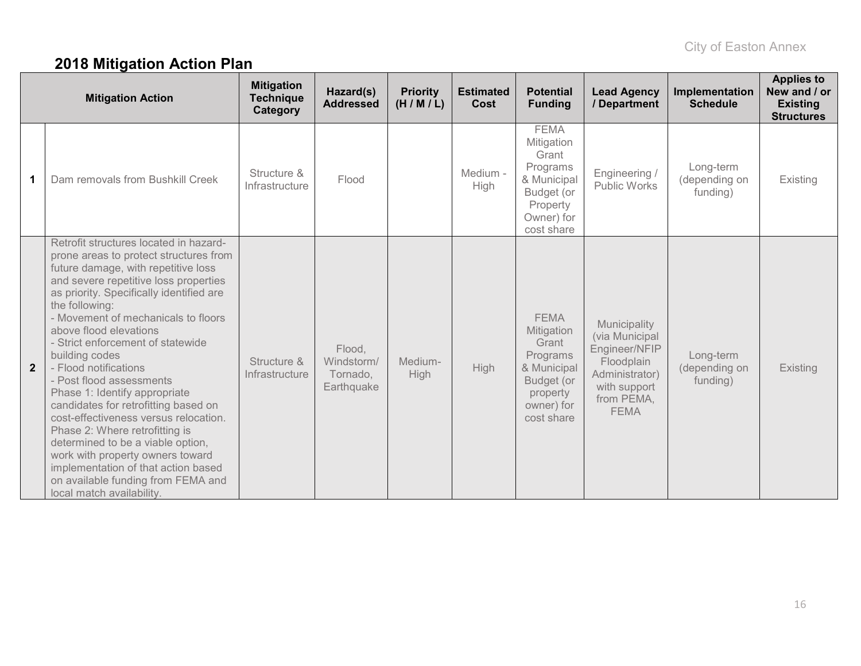# **2018 Mitigation Action Plan**

|                | <b>Mitigation Action</b>                                                                                                                                                                                                                                                                                                                                                                                                                                                                                                                                                                                                                                                                                                                           | <b>Mitigation</b><br><b>Technique</b><br>Category | Hazard(s)<br><b>Addressed</b>                  | <b>Priority</b><br>(H/M/L) | <b>Estimated</b><br><b>Cost</b> | <b>Potential</b><br><b>Funding</b>                                                                                  | <b>Lead Agency</b><br>/ Department                                                                                           | Implementation<br><b>Schedule</b>      | <b>Applies to</b><br>New and / or<br><b>Existing</b><br><b>Structures</b> |
|----------------|----------------------------------------------------------------------------------------------------------------------------------------------------------------------------------------------------------------------------------------------------------------------------------------------------------------------------------------------------------------------------------------------------------------------------------------------------------------------------------------------------------------------------------------------------------------------------------------------------------------------------------------------------------------------------------------------------------------------------------------------------|---------------------------------------------------|------------------------------------------------|----------------------------|---------------------------------|---------------------------------------------------------------------------------------------------------------------|------------------------------------------------------------------------------------------------------------------------------|----------------------------------------|---------------------------------------------------------------------------|
| 1              | Dam removals from Bushkill Creek                                                                                                                                                                                                                                                                                                                                                                                                                                                                                                                                                                                                                                                                                                                   | Structure &<br>Infrastructure                     | Flood                                          |                            | Medium -<br>High                | <b>FEMA</b><br>Mitigation<br>Grant<br>Programs<br>& Municipal<br>Budget (or<br>Property<br>Owner) for<br>cost share | Engineering /<br>Public Works                                                                                                | Long-term<br>(depending on<br>funding) | Existing                                                                  |
| $\overline{2}$ | Retrofit structures located in hazard-<br>prone areas to protect structures from<br>future damage, with repetitive loss<br>and severe repetitive loss properties<br>as priority. Specifically identified are<br>the following:<br>- Movement of mechanicals to floors<br>above flood elevations<br>- Strict enforcement of statewide<br>building codes<br>- Flood notifications<br>- Post flood assessments<br>Phase 1: Identify appropriate<br>candidates for retrofitting based on<br>cost-effectiveness versus relocation.<br>Phase 2: Where retrofitting is<br>determined to be a viable option,<br>work with property owners toward<br>implementation of that action based<br>on available funding from FEMA and<br>local match availability. | Structure &<br>Infrastructure                     | Flood,<br>Windstorm/<br>Tornado,<br>Earthquake | Medium-<br>High            | High                            | <b>FEMA</b><br>Mitigation<br>Grant<br>Programs<br>& Municipal<br>Budget (or<br>property<br>owner) for<br>cost share | Municipality<br>(via Municipal<br>Engineer/NFIP<br>Floodplain<br>Administrator)<br>with support<br>from PEMA,<br><b>FEMA</b> | Long-term<br>(depending on<br>funding) | Existing                                                                  |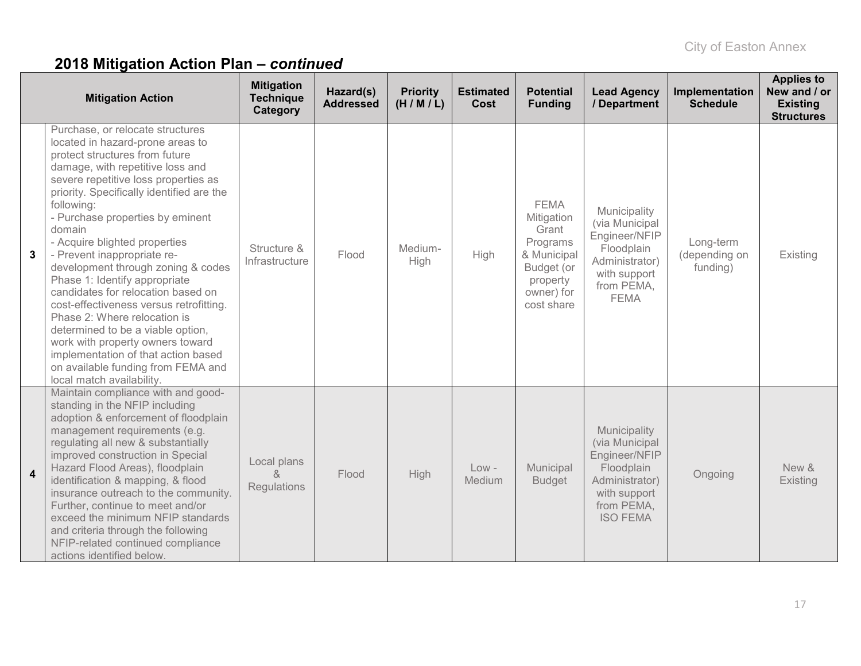|                         | <b>Mitigation Action</b>                                                                                                                                                                                                                                                                                                                                                                                                                                                                                                                                                                                                                                                                                                               | <b>Mitigation</b><br><b>Technique</b><br>Category | Hazard(s)<br><b>Addressed</b> | <b>Priority</b><br>(H/M/L) | <b>Estimated</b><br>Cost | <b>Potential</b><br><b>Funding</b>                                                                                  | <b>Lead Agency</b><br>/ Department                                                                                               | Implementation<br><b>Schedule</b>      | <b>Applies to</b><br>New and / or<br><b>Existing</b><br><b>Structures</b> |
|-------------------------|----------------------------------------------------------------------------------------------------------------------------------------------------------------------------------------------------------------------------------------------------------------------------------------------------------------------------------------------------------------------------------------------------------------------------------------------------------------------------------------------------------------------------------------------------------------------------------------------------------------------------------------------------------------------------------------------------------------------------------------|---------------------------------------------------|-------------------------------|----------------------------|--------------------------|---------------------------------------------------------------------------------------------------------------------|----------------------------------------------------------------------------------------------------------------------------------|----------------------------------------|---------------------------------------------------------------------------|
| 3                       | Purchase, or relocate structures<br>located in hazard-prone areas to<br>protect structures from future<br>damage, with repetitive loss and<br>severe repetitive loss properties as<br>priority. Specifically identified are the<br>following:<br>- Purchase properties by eminent<br>domain<br>- Acquire blighted properties<br>- Prevent inappropriate re-<br>development through zoning & codes<br>Phase 1: Identify appropriate<br>candidates for relocation based on<br>cost-effectiveness versus retrofitting.<br>Phase 2: Where relocation is<br>determined to be a viable option,<br>work with property owners toward<br>implementation of that action based<br>on available funding from FEMA and<br>local match availability. | Structure &<br>Infrastructure                     | Flood                         | Medium-<br>High            | High                     | <b>FEMA</b><br>Mitigation<br>Grant<br>Programs<br>& Municipal<br>Budget (or<br>property<br>owner) for<br>cost share | Municipality<br>(via Municipal<br>Engineer/NFIP<br>Floodplain<br>Administrator)<br>with support<br>from PEMA,<br><b>FEMA</b>     | Long-term<br>(depending on<br>funding) | Existing                                                                  |
| $\overline{\mathbf{4}}$ | Maintain compliance with and good-<br>standing in the NFIP including<br>adoption & enforcement of floodplain<br>management requirements (e.g.<br>regulating all new & substantially<br>improved construction in Special<br>Hazard Flood Areas), floodplain<br>identification & mapping, & flood<br>insurance outreach to the community.<br>Further, continue to meet and/or<br>exceed the minimum NFIP standards<br>and criteria through the following<br>NFIP-related continued compliance<br>actions identified below.                                                                                                                                                                                                               | Local plans<br>&<br>Regulations                   | Flood                         | High                       | $Low -$<br>Medium        | Municipal<br><b>Budget</b>                                                                                          | Municipality<br>(via Municipal<br>Engineer/NFIP<br>Floodplain<br>Administrator)<br>with support<br>from PEMA,<br><b>ISO FEMA</b> | Ongoing                                | New &<br>Existing                                                         |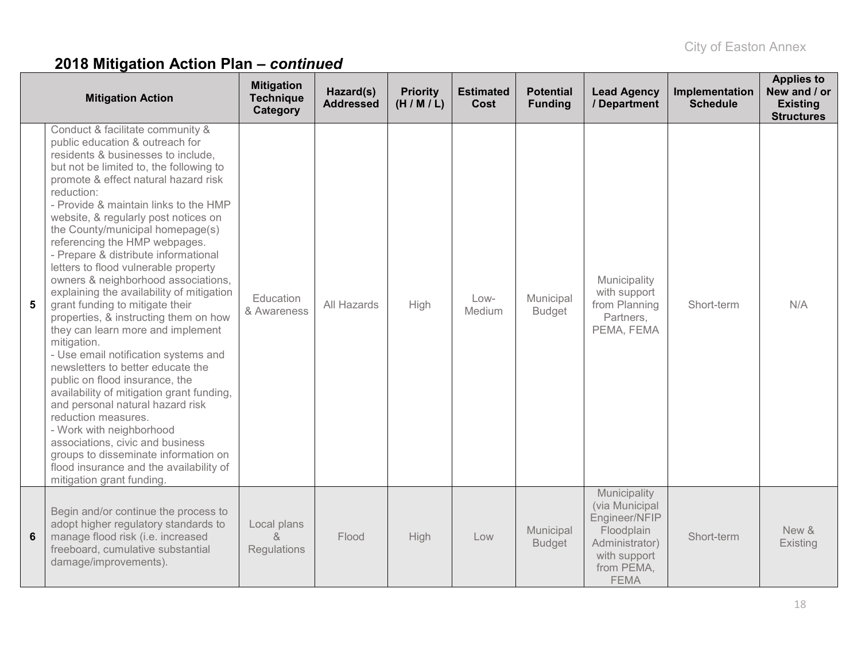|   | <b>Mitigation Action</b>                                                                                                                                                                                                                                                                                                                                                                                                                                                                                                                                                                                                                                                                                                                                                                                                                                                                                                                                                                                                                                                    | <b>Mitigation</b><br><b>Technique</b><br>Category | Hazard(s)<br><b>Addressed</b> | <b>Priority</b><br>(H/M/L) | <b>Estimated</b><br>Cost | <b>Potential</b><br><b>Funding</b> | <b>Lead Agency</b><br>/ Department                                                                                           | Implementation<br><b>Schedule</b> | <b>Applies to</b><br>New and / or<br><b>Existing</b><br><b>Structures</b> |
|---|-----------------------------------------------------------------------------------------------------------------------------------------------------------------------------------------------------------------------------------------------------------------------------------------------------------------------------------------------------------------------------------------------------------------------------------------------------------------------------------------------------------------------------------------------------------------------------------------------------------------------------------------------------------------------------------------------------------------------------------------------------------------------------------------------------------------------------------------------------------------------------------------------------------------------------------------------------------------------------------------------------------------------------------------------------------------------------|---------------------------------------------------|-------------------------------|----------------------------|--------------------------|------------------------------------|------------------------------------------------------------------------------------------------------------------------------|-----------------------------------|---------------------------------------------------------------------------|
| 5 | Conduct & facilitate community &<br>public education & outreach for<br>residents & businesses to include,<br>but not be limited to, the following to<br>promote & effect natural hazard risk<br>reduction:<br>- Provide & maintain links to the HMP<br>website, & regularly post notices on<br>the County/municipal homepage(s)<br>referencing the HMP webpages.<br>- Prepare & distribute informational<br>letters to flood vulnerable property<br>owners & neighborhood associations,<br>explaining the availability of mitigation<br>grant funding to mitigate their<br>properties, & instructing them on how<br>they can learn more and implement<br>mitigation.<br>- Use email notification systems and<br>newsletters to better educate the<br>public on flood insurance, the<br>availability of mitigation grant funding,<br>and personal natural hazard risk<br>reduction measures.<br>- Work with neighborhood<br>associations, civic and business<br>groups to disseminate information on<br>flood insurance and the availability of<br>mitigation grant funding. | Education<br>& Awareness                          | All Hazards                   | High                       | Low-<br>Medium           | Municipal<br><b>Budget</b>         | Municipality<br>with support<br>from Planning<br>Partners,<br>PEMA, FEMA                                                     | Short-term                        | N/A                                                                       |
| 6 | Begin and/or continue the process to<br>adopt higher regulatory standards to<br>manage flood risk (i.e. increased<br>freeboard, cumulative substantial<br>damage/improvements).                                                                                                                                                                                                                                                                                                                                                                                                                                                                                                                                                                                                                                                                                                                                                                                                                                                                                             | Local plans<br>$\delta$<br>Regulations            | Flood                         | High                       | Low                      | Municipal<br><b>Budget</b>         | Municipality<br>(via Municipal<br>Engineer/NFIP<br>Floodplain<br>Administrator)<br>with support<br>from PEMA,<br><b>FEMA</b> | Short-term                        | New &<br>Existing                                                         |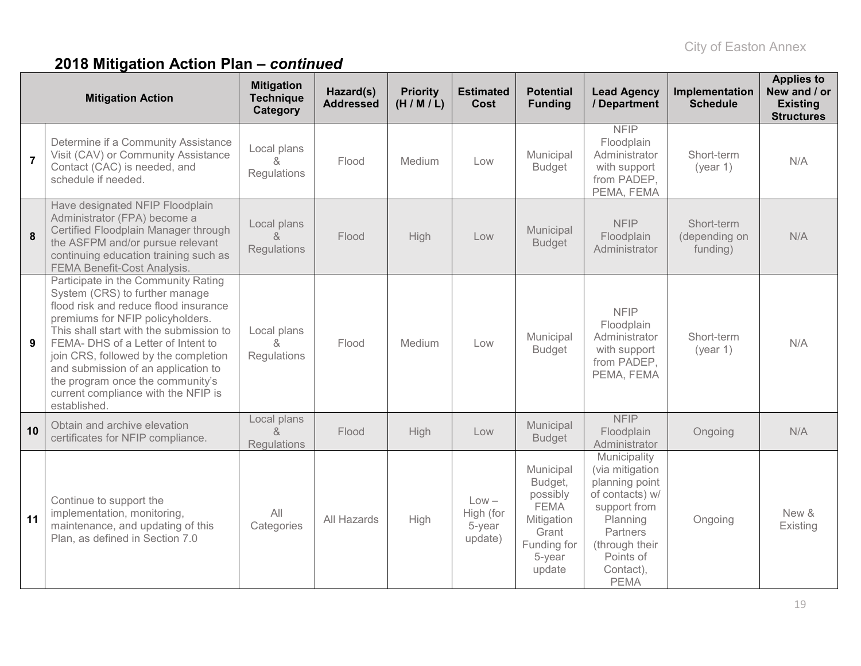|                | <b>Mitigation Action</b>                                                                                                                                                                                                                                                                                                                                                                                      | <b>Mitigation</b><br><b>Technique</b><br>Category | Hazard(s)<br><b>Addressed</b> | <b>Priority</b><br>(H/M/L) | <b>Estimated</b><br><b>Cost</b>           | <b>Potential</b><br><b>Funding</b>                                                                        | <b>Lead Agency</b><br>/ Department                                                                                                                                      | Implementation<br><b>Schedule</b>       | <b>Applies to</b><br>New and / or<br><b>Existing</b><br><b>Structures</b> |
|----------------|---------------------------------------------------------------------------------------------------------------------------------------------------------------------------------------------------------------------------------------------------------------------------------------------------------------------------------------------------------------------------------------------------------------|---------------------------------------------------|-------------------------------|----------------------------|-------------------------------------------|-----------------------------------------------------------------------------------------------------------|-------------------------------------------------------------------------------------------------------------------------------------------------------------------------|-----------------------------------------|---------------------------------------------------------------------------|
| $\overline{7}$ | Determine if a Community Assistance<br>Visit (CAV) or Community Assistance<br>Contact (CAC) is needed, and<br>schedule if needed.                                                                                                                                                                                                                                                                             | Local plans<br>$\alpha$<br>Regulations            | Flood                         | Medium                     | Low                                       | Municipal<br><b>Budget</b>                                                                                | <b>NFIP</b><br>Floodplain<br>Administrator<br>with support<br>from PADEP,<br>PEMA, FEMA                                                                                 | Short-term<br>(year 1)                  | N/A                                                                       |
| 8              | Have designated NFIP Floodplain<br>Administrator (FPA) become a<br>Certified Floodplain Manager through<br>the ASFPM and/or pursue relevant<br>continuing education training such as<br>FEMA Benefit-Cost Analysis.                                                                                                                                                                                           | Local plans<br>&<br>Regulations                   | Flood                         | High                       | Low                                       | Municipal<br><b>Budget</b>                                                                                | <b>NFIP</b><br>Floodplain<br>Administrator                                                                                                                              | Short-term<br>(depending on<br>funding) | N/A                                                                       |
| 9              | Participate in the Community Rating<br>System (CRS) to further manage<br>flood risk and reduce flood insurance<br>premiums for NFIP policyholders.<br>This shall start with the submission to<br>FEMA- DHS of a Letter of Intent to<br>join CRS, followed by the completion<br>and submission of an application to<br>the program once the community's<br>current compliance with the NFIP is<br>established. | Local plans<br>&<br>Regulations                   | Flood                         | Medium                     | Low                                       | Municipal<br><b>Budget</b>                                                                                | <b>NFIP</b><br>Floodplain<br>Administrator<br>with support<br>from PADEP,<br>PEMA, FEMA                                                                                 | Short-term<br>(year 1)                  | N/A                                                                       |
| 10             | Obtain and archive elevation<br>certificates for NFIP compliance.                                                                                                                                                                                                                                                                                                                                             | Local plans<br>&<br><b>Regulations</b>            | Flood                         | High                       | Low                                       | Municipal<br><b>Budget</b>                                                                                | <b>NFIP</b><br>Floodplain<br>Administrator                                                                                                                              | Ongoing                                 | N/A                                                                       |
| 11             | Continue to support the<br>implementation, monitoring,<br>maintenance, and updating of this<br>Plan, as defined in Section 7.0                                                                                                                                                                                                                                                                                | All<br>Categories                                 | All Hazards                   | High                       | $Low -$<br>High (for<br>5-year<br>update) | Municipal<br>Budget,<br>possibly<br><b>FEMA</b><br>Mitigation<br>Grant<br>Funding for<br>5-year<br>update | Municipality<br>(via mitigation<br>planning point<br>of contacts) w/<br>support from<br>Planning<br>Partners<br>(through their<br>Points of<br>Contact),<br><b>PEMA</b> | Ongoing                                 | New &<br>Existing                                                         |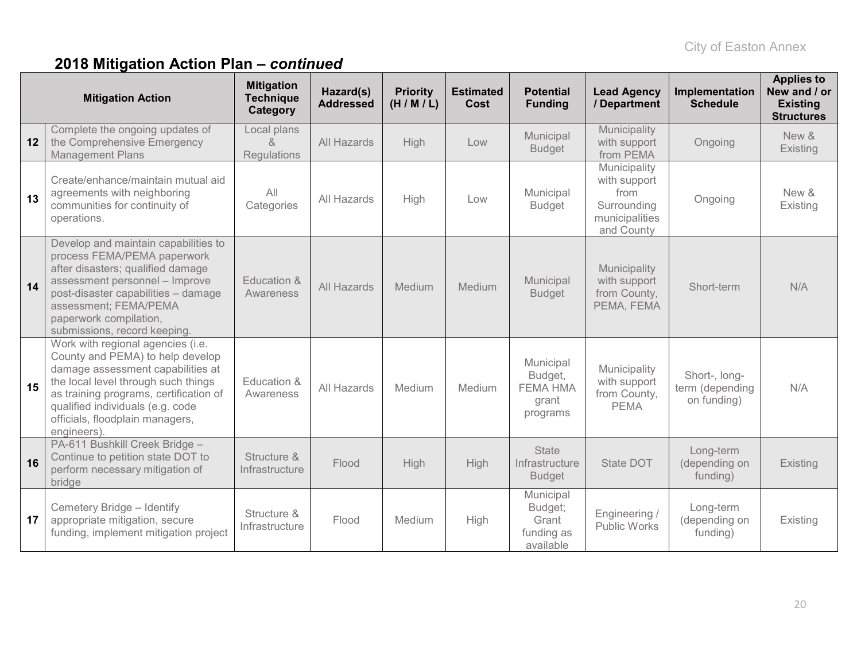|    | <b>Mitigation Action</b>                                                                                                                                                                                                                                                         | <b>Mitigation</b><br><b>Technique</b><br>Category | Hazard(s)<br><b>Addressed</b> | <b>Priority</b><br>(H/M/L) | <b>Estimated</b><br>Cost | <b>Potential</b><br><b>Funding</b>                           | <b>Lead Agency</b><br>/ Department                                                  | Implementation<br><b>Schedule</b>               | <b>Applies to</b><br>New and / or<br><b>Existing</b><br><b>Structures</b> |
|----|----------------------------------------------------------------------------------------------------------------------------------------------------------------------------------------------------------------------------------------------------------------------------------|---------------------------------------------------|-------------------------------|----------------------------|--------------------------|--------------------------------------------------------------|-------------------------------------------------------------------------------------|-------------------------------------------------|---------------------------------------------------------------------------|
| 12 | Complete the ongoing updates of<br>the Comprehensive Emergency<br><b>Management Plans</b>                                                                                                                                                                                        | Local plans<br>$\alpha$<br><b>Regulations</b>     | All Hazards                   | High                       | Low                      | Municipal<br><b>Budget</b>                                   | Municipality<br>with support<br>from PEMA                                           | Ongoing                                         | New &<br>Existing                                                         |
| 13 | Create/enhance/maintain mutual aid<br>agreements with neighboring<br>communities for continuity of<br>operations.                                                                                                                                                                | All<br>Categories                                 | All Hazards                   | High                       | Low                      | Municipal<br><b>Budget</b>                                   | Municipality<br>with support<br>from<br>Surrounding<br>municipalities<br>and County | Ongoing                                         | New &<br>Existing                                                         |
| 14 | Develop and maintain capabilities to<br>process FEMA/PEMA paperwork<br>after disasters; qualified damage<br>assessment personnel - Improve<br>post-disaster capabilities - damage<br>assessment; FEMA/PEMA<br>paperwork compilation,<br>submissions, record keeping.             | Education &<br>Awareness                          | All Hazards                   | Medium                     | Medium                   | Municipal<br><b>Budget</b>                                   | Municipality<br>with support<br>from County,<br>PEMA, FEMA                          | Short-term                                      | N/A                                                                       |
| 15 | Work with regional agencies (i.e.<br>County and PEMA) to help develop<br>damage assessment capabilities at<br>the local level through such things<br>as training programs, certification of<br>qualified individuals (e.g. code<br>officials, floodplain managers,<br>engineers) | Education &<br>Awareness                          | All Hazards                   | Medium                     | Medium                   | Municipal<br>Budget,<br><b>FEMA HMA</b><br>grant<br>programs | Municipality<br>with support<br>from County,<br><b>PEMA</b>                         | Short-, long-<br>term (depending<br>on funding) | N/A                                                                       |
| 16 | PA-611 Bushkill Creek Bridge -<br>Continue to petition state DOT to<br>perform necessary mitigation of<br>bridge                                                                                                                                                                 | Structure &<br>Infrastructure                     | Flood                         | High                       | High                     | <b>State</b><br>Infrastructure<br><b>Budget</b>              | State DOT                                                                           | Long-term<br>(depending on<br>funding)          | Existing                                                                  |
| 17 | Cemetery Bridge - Identify<br>appropriate mitigation, secure<br>funding, implement mitigation project                                                                                                                                                                            | Structure &<br>Infrastructure                     | Flood                         | Medium                     | High                     | Municipal<br>Budget;<br>Grant<br>funding as<br>available     | Engineering /<br>Public Works                                                       | Long-term<br>(depending on<br>funding)          | Existing                                                                  |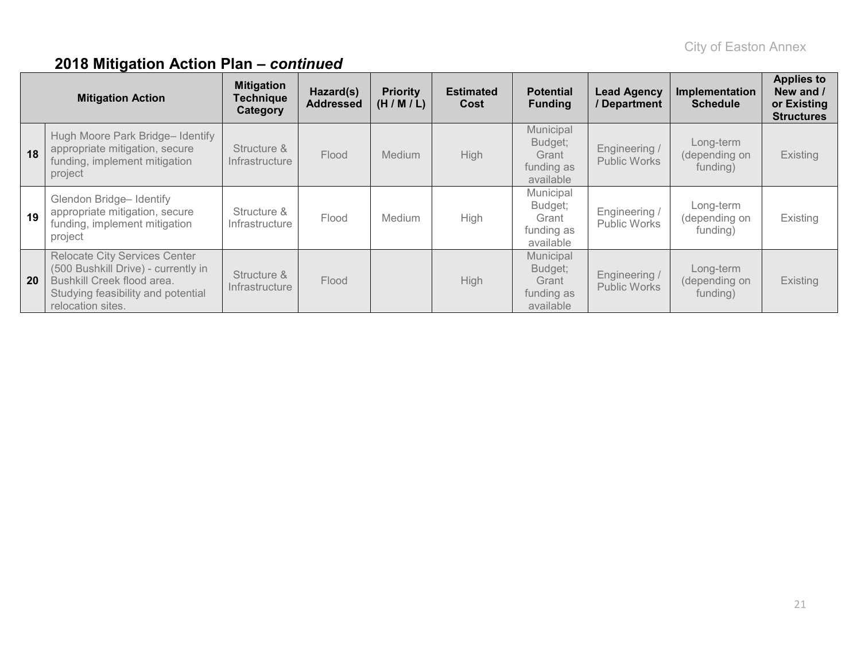| <b>Mitigation Action</b> |                                                                                                                                                                      | <b>Mitigation</b><br><b>Technique</b><br>Category | Hazard(s)<br><b>Addressed</b> | <b>Priority</b><br>(H/M/L) | <b>Estimated</b><br>Cost | <b>Potential</b><br><b>Funding</b>                       | <b>Lead Agency</b><br>/ Department | Implementation<br><b>Schedule</b>      | <b>Applies to</b><br>New and /<br>or Existing<br><b>Structures</b> |
|--------------------------|----------------------------------------------------------------------------------------------------------------------------------------------------------------------|---------------------------------------------------|-------------------------------|----------------------------|--------------------------|----------------------------------------------------------|------------------------------------|----------------------------------------|--------------------------------------------------------------------|
| 18                       | Hugh Moore Park Bridge- Identify<br>appropriate mitigation, secure<br>funding, implement mitigation<br>project                                                       | Structure &<br>Infrastructure                     | Flood                         | <b>Medium</b>              | <b>High</b>              | Municipal<br>Budget;<br>Grant<br>funding as<br>available | Engineering /<br>Public Works      | Long-term<br>(depending on<br>funding) | Existing                                                           |
| 19                       | Glendon Bridge- Identify<br>appropriate mitigation, secure<br>funding, implement mitigation<br>project                                                               | Structure &<br>Infrastructure                     | Flood                         | Medium                     | <b>High</b>              | Municipal<br>Budget;<br>Grant<br>funding as<br>available | Engineering /<br>Public Works      | Long-term<br>(depending on<br>funding) | Existing                                                           |
| <b>20</b>                | <b>Relocate City Services Center</b><br>(500 Bushkill Drive) - currently in<br>Bushkill Creek flood area.<br>Studying feasibility and potential<br>relocation sites. | Structure &<br>Infrastructure                     | Flood                         |                            | <b>High</b>              | Municipal<br>Budget;<br>Grant<br>funding as<br>available | Engineering /<br>Public Works      | Long-term<br>(depending on<br>funding) | <b>Existing</b>                                                    |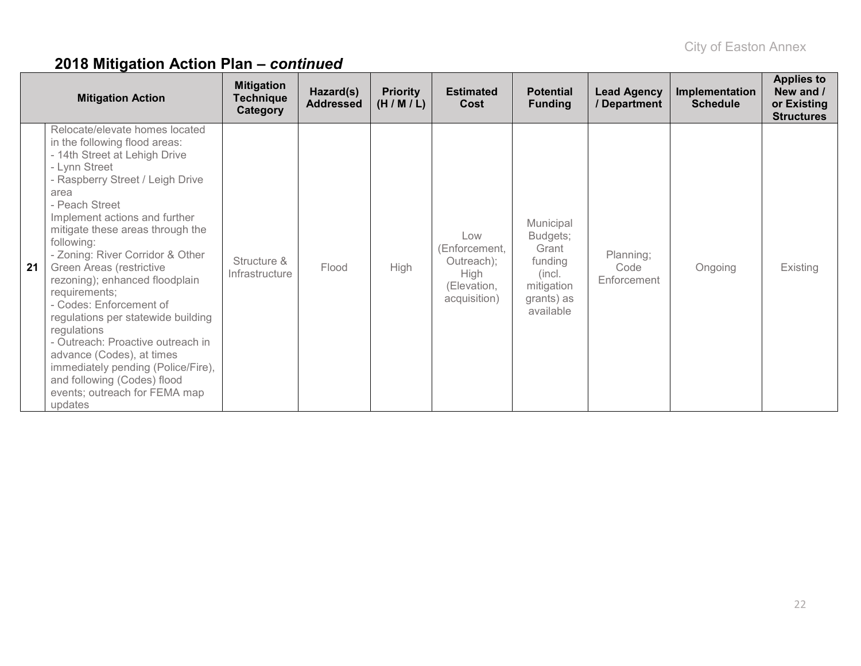| <b>Mitigation Action</b> |                                                                                                                                                                                                                                                                                                                                                                                                                                                                                                                                                                                                                                                          | <b>Mitigation</b><br><b>Technique</b><br>Category | Hazard(s)<br><b>Addressed</b> | <b>Priority</b><br>(H/M/L) | <b>Estimated</b><br>Cost                                                  | <b>Potential</b><br><b>Funding</b>                                                           | <b>Lead Agency</b><br>/ Department | Implementation<br><b>Schedule</b> | <b>Applies to</b><br>New and /<br>or Existing<br><b>Structures</b> |
|--------------------------|----------------------------------------------------------------------------------------------------------------------------------------------------------------------------------------------------------------------------------------------------------------------------------------------------------------------------------------------------------------------------------------------------------------------------------------------------------------------------------------------------------------------------------------------------------------------------------------------------------------------------------------------------------|---------------------------------------------------|-------------------------------|----------------------------|---------------------------------------------------------------------------|----------------------------------------------------------------------------------------------|------------------------------------|-----------------------------------|--------------------------------------------------------------------|
| 21                       | Relocate/elevate homes located<br>in the following flood areas:<br>- 14th Street at Lehigh Drive<br>- Lynn Street<br>- Raspberry Street / Leigh Drive<br>area<br>- Peach Street<br>Implement actions and further<br>mitigate these areas through the<br>following:<br>- Zoning: River Corridor & Other<br>Green Areas (restrictive<br>rezoning); enhanced floodplain<br>requirements;<br>- Codes: Enforcement of<br>regulations per statewide building<br>regulations<br>- Outreach: Proactive outreach in<br>advance (Codes), at times<br>immediately pending (Police/Fire),<br>and following (Codes) flood<br>events; outreach for FEMA map<br>updates | Structure &<br>Infrastructure                     | Flood                         | <b>High</b>                | Low<br>(Enforcement,<br>Outreach);<br>High<br>(Elevation.<br>acquisition) | Municipal<br>Budgets;<br>Grant<br>funding<br>(incl.<br>mitigation<br>grants) as<br>available | Planning;<br>Code<br>Enforcement   | Ongoing                           | Existing                                                           |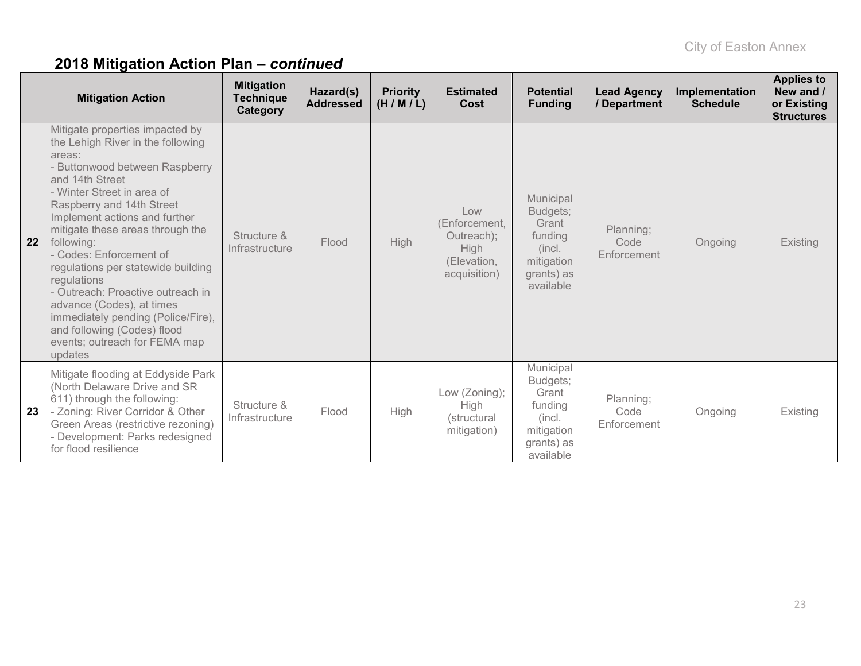| <b>Mitigation Action</b> |                                                                                                                                                                                                                                                                                                                                                                                                                                                                                                                                                      | <b>Mitigation</b><br><b>Technique</b><br>Category | Hazard(s)<br><b>Addressed</b> | <b>Priority</b><br>(H/M/L) | <b>Estimated</b><br>Cost                                                         | <b>Potential</b><br><b>Funding</b>                                                           | <b>Lead Agency</b><br>/ Department | Implementation<br><b>Schedule</b> | <b>Applies to</b><br>New and /<br>or Existing<br><b>Structures</b> |
|--------------------------|------------------------------------------------------------------------------------------------------------------------------------------------------------------------------------------------------------------------------------------------------------------------------------------------------------------------------------------------------------------------------------------------------------------------------------------------------------------------------------------------------------------------------------------------------|---------------------------------------------------|-------------------------------|----------------------------|----------------------------------------------------------------------------------|----------------------------------------------------------------------------------------------|------------------------------------|-----------------------------------|--------------------------------------------------------------------|
| 22                       | Mitigate properties impacted by<br>the Lehigh River in the following<br>areas:<br>- Buttonwood between Raspberry<br>and 14th Street<br>- Winter Street in area of<br>Raspberry and 14th Street<br>Implement actions and further<br>mitigate these areas through the<br>following:<br>- Codes: Enforcement of<br>regulations per statewide building<br>regulations<br>- Outreach: Proactive outreach in<br>advance (Codes), at times<br>immediately pending (Police/Fire),<br>and following (Codes) flood<br>events; outreach for FEMA map<br>updates | Structure &<br>Infrastructure                     | Flood                         | <b>High</b>                | Low<br>(Enforcement,<br>Outreach);<br><b>High</b><br>(Elevation,<br>acquisition) | Municipal<br>Budgets;<br>Grant<br>funding<br>(incl.<br>mitigation<br>grants) as<br>available | Planning;<br>Code<br>Enforcement   | Ongoing                           | Existing                                                           |
| 23                       | Mitigate flooding at Eddyside Park<br>(North Delaware Drive and SR<br>611) through the following:<br>- Zoning: River Corridor & Other<br>Green Areas (restrictive rezoning)<br>- Development: Parks redesigned<br>for flood resilience                                                                                                                                                                                                                                                                                                               | Structure &<br>Infrastructure                     | Flood                         | High                       | Low (Zoning);<br><b>High</b><br>(structural<br>mitigation)                       | Municipal<br>Budgets;<br>Grant<br>funding<br>(incl.<br>mitigation<br>grants) as<br>available | Planning;<br>Code<br>Enforcement   | Ongoing                           | Existing                                                           |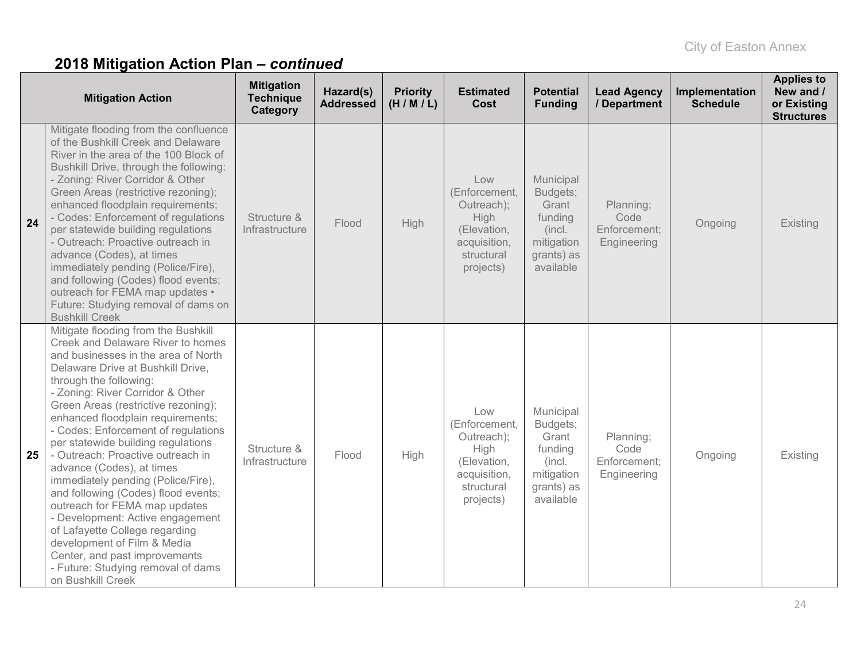|    | <b>Mitigation Action</b>                                                                                                                                                                                                                                                                                                                                                                                                                                                                                                                                                                                                                                                                                                                                     | <b>Mitigation</b><br><b>Technique</b><br>Category | Hazard(s)<br><b>Addressed</b> | <b>Priority</b><br>(H/M/L) | <b>Estimated</b><br>Cost                                                                             | <b>Potential</b><br><b>Funding</b>                                                           | <b>Lead Agency</b><br>/ Department               | Implementation<br><b>Schedule</b> | <b>Applies to</b><br>New and /<br>or Existing<br><b>Structures</b> |
|----|--------------------------------------------------------------------------------------------------------------------------------------------------------------------------------------------------------------------------------------------------------------------------------------------------------------------------------------------------------------------------------------------------------------------------------------------------------------------------------------------------------------------------------------------------------------------------------------------------------------------------------------------------------------------------------------------------------------------------------------------------------------|---------------------------------------------------|-------------------------------|----------------------------|------------------------------------------------------------------------------------------------------|----------------------------------------------------------------------------------------------|--------------------------------------------------|-----------------------------------|--------------------------------------------------------------------|
| 24 | Mitigate flooding from the confluence<br>of the Bushkill Creek and Delaware<br>River in the area of the 100 Block of<br>Bushkill Drive, through the following:<br>- Zoning: River Corridor & Other<br>Green Areas (restrictive rezoning);<br>enhanced floodplain requirements;<br>- Codes: Enforcement of regulations<br>per statewide building regulations<br>- Outreach: Proactive outreach in<br>advance (Codes), at times<br>immediately pending (Police/Fire),<br>and following (Codes) flood events;<br>outreach for FEMA map updates •<br>Future: Studying removal of dams on<br><b>Bushkill Creek</b>                                                                                                                                                | Structure &<br>Infrastructure                     | Flood                         | High                       | Low<br>(Enforcement,<br>Outreach);<br>High<br>(Elevation,<br>acquisition,<br>structural<br>projects) | Municipal<br>Budgets;<br>Grant<br>funding<br>(incl.<br>mitigation<br>grants) as<br>available | Planning;<br>Code<br>Enforcement;<br>Engineering | Ongoing                           | Existing                                                           |
| 25 | Mitigate flooding from the Bushkill<br>Creek and Delaware River to homes<br>and businesses in the area of North<br>Delaware Drive at Bushkill Drive,<br>through the following:<br>- Zoning: River Corridor & Other<br>Green Areas (restrictive rezoning);<br>enhanced floodplain requirements;<br>- Codes: Enforcement of regulations<br>per statewide building regulations<br>- Outreach: Proactive outreach in<br>advance (Codes), at times<br>immediately pending (Police/Fire),<br>and following (Codes) flood events;<br>outreach for FEMA map updates<br>- Development: Active engagement<br>of Lafayette College regarding<br>development of Film & Media<br>Center, and past improvements<br>- Future: Studying removal of dams<br>on Bushkill Creek | Structure &<br>Infrastructure                     | Flood                         | High                       | Low<br>(Enforcement,<br>Outreach);<br>High<br>(Elevation,<br>acquisition,<br>structural<br>projects) | Municipal<br>Budgets;<br>Grant<br>funding<br>(incl.<br>mitigation<br>grants) as<br>available | Planning;<br>Code<br>Enforcement;<br>Engineering | Ongoing                           | Existing                                                           |